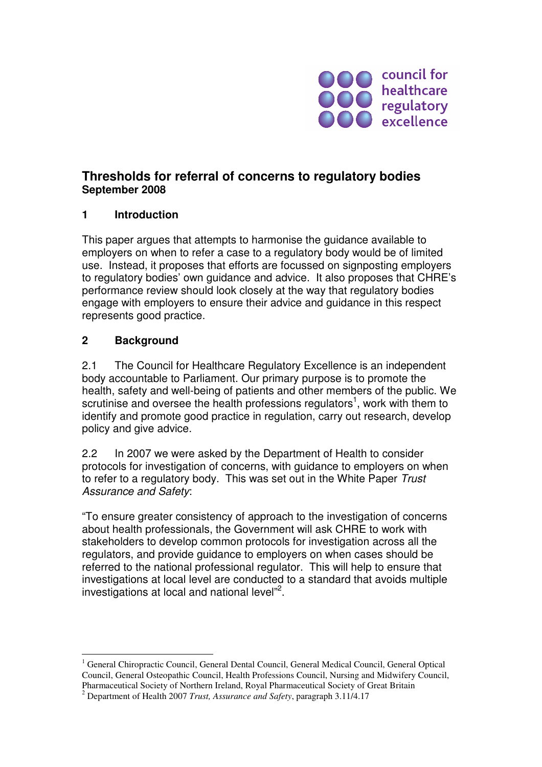

## **Thresholds for referral of concerns to regulatory bodies September 2008**

## **1 Introduction**

This paper argues that attempts to harmonise the guidance available to employers on when to refer a case to a regulatory body would be of limited use. Instead, it proposes that efforts are focussed on signposting employers to regulatory bodies' own guidance and advice. It also proposes that CHRE's performance review should look closely at the way that regulatory bodies engage with employers to ensure their advice and guidance in this respect represents good practice.

## **2 Background**

 $\overline{a}$ 

2.1 The Council for Healthcare Regulatory Excellence is an independent body accountable to Parliament. Our primary purpose is to promote the health, safety and well-being of patients and other members of the public. We scrutinise and oversee the health professions regulators<sup>1</sup>, work with them to identify and promote good practice in regulation, carry out research, develop policy and give advice.

2.2 In 2007 we were asked by the Department of Health to consider protocols for investigation of concerns, with guidance to employers on when to refer to a regulatory body. This was set out in the White Paper Trust Assurance and Safety:

"To ensure greater consistency of approach to the investigation of concerns about health professionals, the Government will ask CHRE to work with stakeholders to develop common protocols for investigation across all the regulators, and provide guidance to employers on when cases should be referred to the national professional regulator. This will help to ensure that investigations at local level are conducted to a standard that avoids multiple investigations at local and national level"<sup>2</sup>.

<sup>1</sup> General Chiropractic Council, General Dental Council, General Medical Council, General Optical Council, General Osteopathic Council, Health Professions Council, Nursing and Midwifery Council, Pharmaceutical Society of Northern Ireland, Royal Pharmaceutical Society of Great Britain

<sup>2</sup> Department of Health 2007 *Trust, Assurance and Safety*, paragraph 3.11/4.17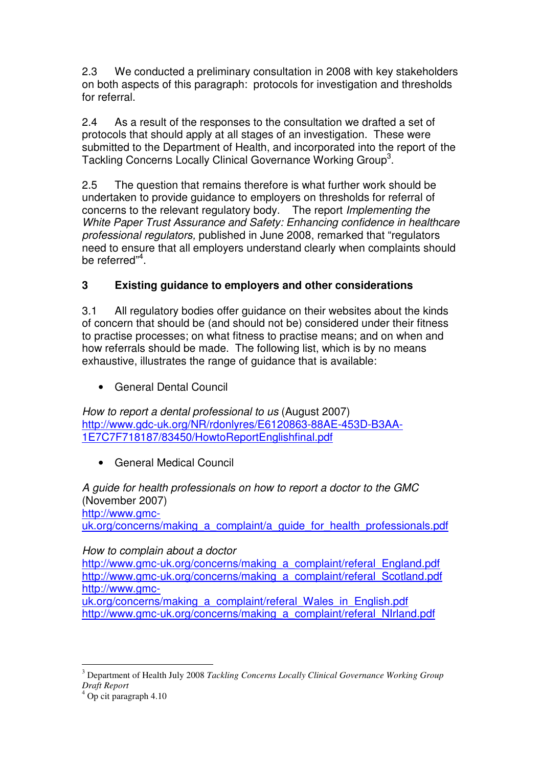2.3 We conducted a preliminary consultation in 2008 with key stakeholders on both aspects of this paragraph: protocols for investigation and thresholds for referral.

2.4 As a result of the responses to the consultation we drafted a set of protocols that should apply at all stages of an investigation. These were submitted to the Department of Health, and incorporated into the report of the Tackling Concerns Locally Clinical Governance Working Group<sup>3</sup>.

2.5 The question that remains therefore is what further work should be undertaken to provide guidance to employers on thresholds for referral of concerns to the relevant regulatory body. The report Implementing the White Paper Trust Assurance and Safety: Enhancing confidence in healthcare professional regulators, published in June 2008, remarked that "regulators need to ensure that all employers understand clearly when complaints should be referred"<sup>4</sup>.

# **3 Existing guidance to employers and other considerations**

3.1 All regulatory bodies offer guidance on their websites about the kinds of concern that should be (and should not be) considered under their fitness to practise processes; on what fitness to practise means; and on when and how referrals should be made. The following list, which is by no means exhaustive, illustrates the range of guidance that is available:

• General Dental Council

How to report a dental professional to us (August 2007) http://www.gdc-uk.org/NR/rdonlyres/E6120863-88AE-453D-B3AA-1E7C7F718187/83450/HowtoReportEnglishfinal.pdf

• General Medical Council

A guide for health professionals on how to report a doctor to the GMC (November 2007) http://www.gmcuk.org/concerns/making\_a\_complaint/a\_quide\_for\_health\_professionals.pdf

# How to complain about a doctor

http://www.gmc-uk.org/concerns/making\_a\_complaint/referal\_England.pdf http://www.gmc-uk.org/concerns/making\_a\_complaint/referal\_Scotland.pdf http://www.gmc-

uk.org/concerns/making a complaint/referal Wales in English.pdf http://www.gmc-uk.org/concerns/making\_a\_complaint/referal\_NIrland.pdf

 $\overline{a}$ 3 Department of Health July 2008 *Tackling Concerns Locally Clinical Governance Working Group Draft Report*

<sup>4</sup> Op cit paragraph 4.10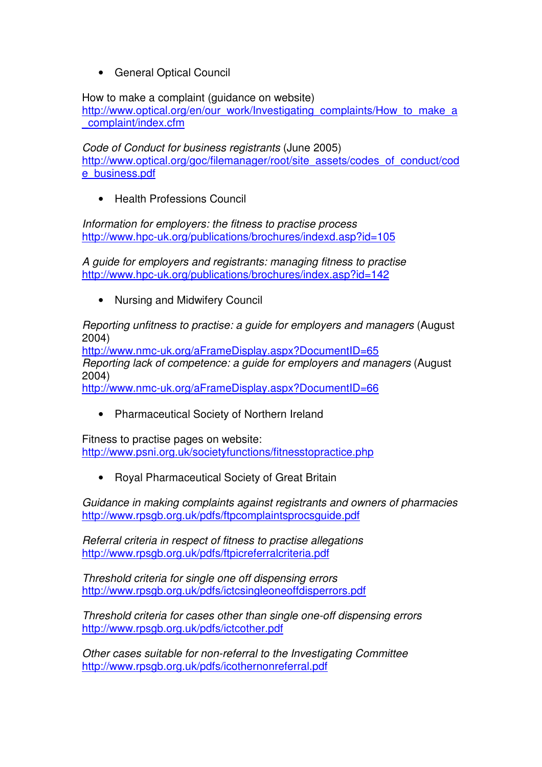• General Optical Council

How to make a complaint (guidance on website)

http://www.optical.org/en/our\_work/Investigating\_complaints/How\_to\_make\_a \_complaint/index.cfm

Code of Conduct for business registrants (June 2005) http://www.optical.org/goc/filemanager/root/site\_assets/codes\_of\_conduct/cod e\_business.pdf

• Health Professions Council

Information for employers: the fitness to practise process http://www.hpc-uk.org/publications/brochures/indexd.asp?id=105

A guide for employers and registrants: managing fitness to practise http://www.hpc-uk.org/publications/brochures/index.asp?id=142

• Nursing and Midwifery Council

Reporting unfitness to practise: a guide for employers and managers (August 2004)

http://www.nmc-uk.org/aFrameDisplay.aspx?DocumentID=65 Reporting lack of competence: a guide for employers and managers (August 2004)

http://www.nmc-uk.org/aFrameDisplay.aspx?DocumentID=66

• Pharmaceutical Society of Northern Ireland

Fitness to practise pages on website: http://www.psni.org.uk/societyfunctions/fitnesstopractice.php

• Royal Pharmaceutical Society of Great Britain

Guidance in making complaints against registrants and owners of pharmacies http://www.rpsgb.org.uk/pdfs/ftpcomplaintsprocsguide.pdf

Referral criteria in respect of fitness to practise allegations http://www.rpsgb.org.uk/pdfs/ftpicreferralcriteria.pdf

Threshold criteria for single one off dispensing errors http://www.rpsgb.org.uk/pdfs/ictcsingleoneoffdisperrors.pdf

Threshold criteria for cases other than single one-off dispensing errors http://www.rpsgb.org.uk/pdfs/ictcother.pdf

Other cases suitable for non-referral to the Investigating Committee http://www.rpsgb.org.uk/pdfs/icothernonreferral.pdf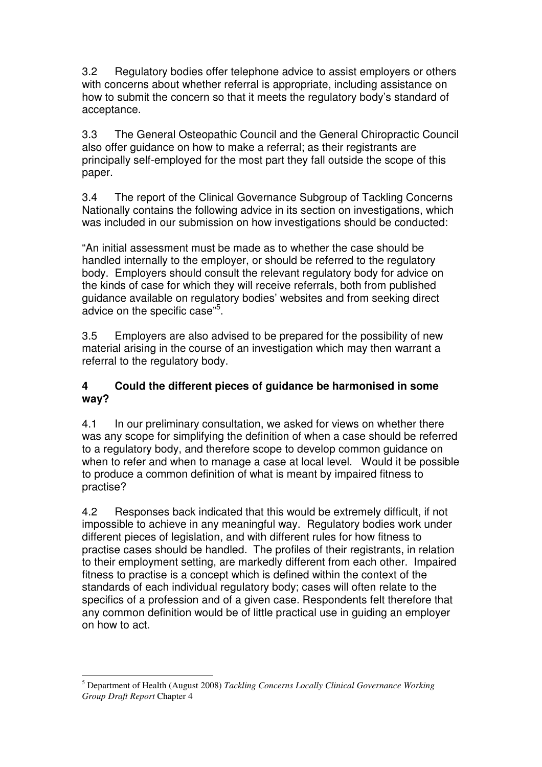3.2 Regulatory bodies offer telephone advice to assist employers or others with concerns about whether referral is appropriate, including assistance on how to submit the concern so that it meets the regulatory body's standard of acceptance.

3.3 The General Osteopathic Council and the General Chiropractic Council also offer guidance on how to make a referral; as their registrants are principally self-employed for the most part they fall outside the scope of this paper.

3.4 The report of the Clinical Governance Subgroup of Tackling Concerns Nationally contains the following advice in its section on investigations, which was included in our submission on how investigations should be conducted:

"An initial assessment must be made as to whether the case should be handled internally to the employer, or should be referred to the regulatory body. Employers should consult the relevant regulatory body for advice on the kinds of case for which they will receive referrals, both from published guidance available on regulatory bodies' websites and from seeking direct advice on the specific case"<sup>5</sup>.

3.5 Employers are also advised to be prepared for the possibility of new material arising in the course of an investigation which may then warrant a referral to the regulatory body.

#### **4 Could the different pieces of guidance be harmonised in some way?**

4.1 In our preliminary consultation, we asked for views on whether there was any scope for simplifying the definition of when a case should be referred to a regulatory body, and therefore scope to develop common guidance on when to refer and when to manage a case at local level. Would it be possible to produce a common definition of what is meant by impaired fitness to practise?

4.2 Responses back indicated that this would be extremely difficult, if not impossible to achieve in any meaningful way. Regulatory bodies work under different pieces of legislation, and with different rules for how fitness to practise cases should be handled. The profiles of their registrants, in relation to their employment setting, are markedly different from each other. Impaired fitness to practise is a concept which is defined within the context of the standards of each individual regulatory body; cases will often relate to the specifics of a profession and of a given case. Respondents felt therefore that any common definition would be of little practical use in guiding an employer on how to act.

 $\overline{a}$ 5 Department of Health (August 2008) *Tackling Concerns Locally Clinical Governance Working Group Draft Report* Chapter 4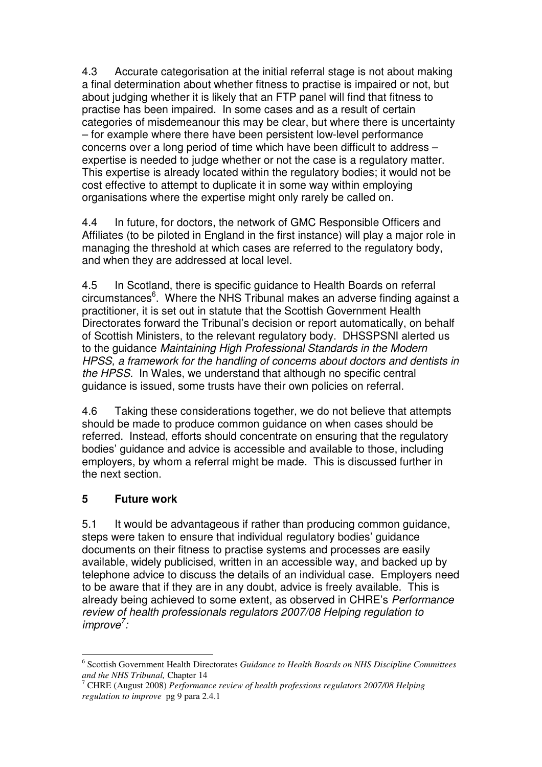4.3 Accurate categorisation at the initial referral stage is not about making a final determination about whether fitness to practise is impaired or not, but about judging whether it is likely that an FTP panel will find that fitness to practise has been impaired. In some cases and as a result of certain categories of misdemeanour this may be clear, but where there is uncertainty – for example where there have been persistent low-level performance concerns over a long period of time which have been difficult to address – expertise is needed to judge whether or not the case is a regulatory matter. This expertise is already located within the regulatory bodies; it would not be cost effective to attempt to duplicate it in some way within employing organisations where the expertise might only rarely be called on.

4.4 In future, for doctors, the network of GMC Responsible Officers and Affiliates (to be piloted in England in the first instance) will play a major role in managing the threshold at which cases are referred to the regulatory body, and when they are addressed at local level.

4.5 In Scotland, there is specific guidance to Health Boards on referral circumstances<sup>6</sup>. Where the NHS Tribunal makes an adverse finding against a practitioner, it is set out in statute that the Scottish Government Health Directorates forward the Tribunal's decision or report automatically, on behalf of Scottish Ministers, to the relevant regulatory body. DHSSPSNI alerted us to the guidance Maintaining High Professional Standards in the Modern HPSS, a framework for the handling of concerns about doctors and dentists in the HPSS. In Wales, we understand that although no specific central guidance is issued, some trusts have their own policies on referral.

4.6 Taking these considerations together, we do not believe that attempts should be made to produce common guidance on when cases should be referred. Instead, efforts should concentrate on ensuring that the regulatory bodies' guidance and advice is accessible and available to those, including employers, by whom a referral might be made. This is discussed further in the next section.

#### **5 Future work**

5.1 It would be advantageous if rather than producing common guidance, steps were taken to ensure that individual regulatory bodies' guidance documents on their fitness to practise systems and processes are easily available, widely publicised, written in an accessible way, and backed up by telephone advice to discuss the details of an individual case. Employers need to be aware that if they are in any doubt, advice is freely available. This is already being achieved to some extent, as observed in CHRE's Performance review of health professionals regulators 2007/08 Helping regulation to improve<sup>7</sup>:

 $\overline{a}$ 6 Scottish Government Health Directorates *Guidance to Health Boards on NHS Discipline Committees and the NHS Tribunal,* Chapter 14

<sup>7</sup> CHRE (August 2008) *Performance review of health professions regulators 2007/08 Helping regulation to improve* pg 9 para 2.4.1